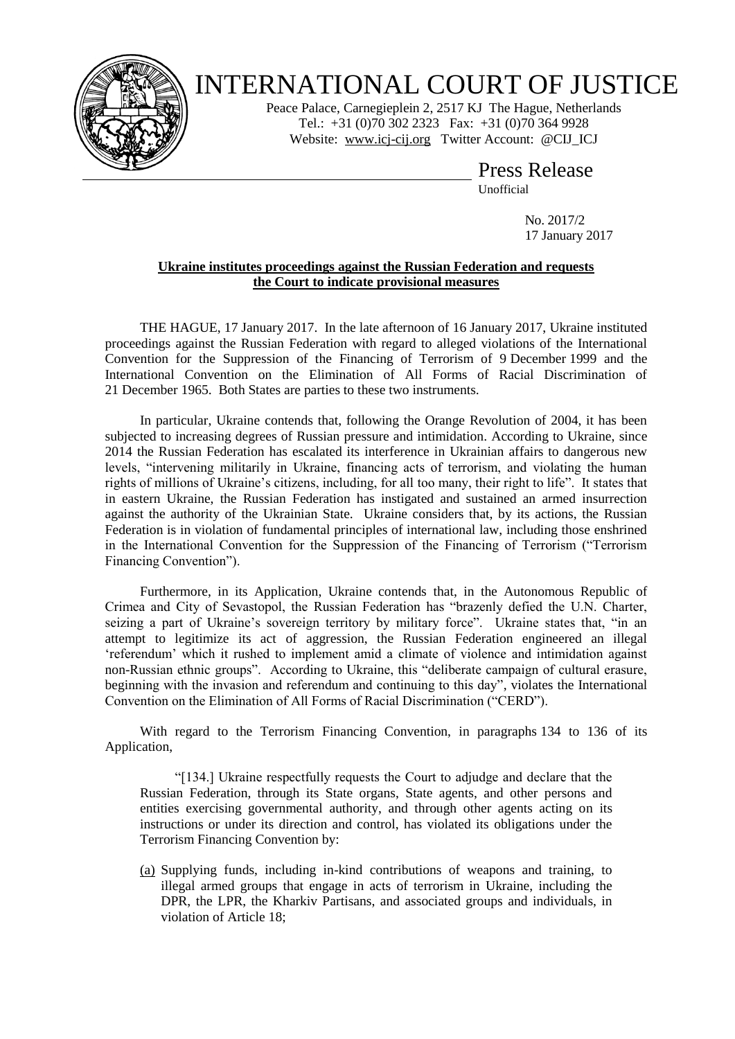

## INTERNATIONAL COURT OF JUSTICE

Peace Palace, Carnegieplein 2, 2517 KJ The Hague, Netherlands Tel.: +31 (0)70 302 2323 Fax: +31 (0)70 364 9928 Website: [www.icj-cij.org](http://www.icj-cij.org/) Twitter Account: [@CIJ\\_ICJ](https://twitter.com/cij_icj)

> Press Release Unofficial

> > No. 2017/2 17 January 2017

## **Ukraine institutes proceedings against the Russian Federation and requests the Court to indicate provisional measures**

THE HAGUE, 17 January 2017. In the late afternoon of 16 January 2017, Ukraine instituted proceedings against the Russian Federation with regard to alleged violations of the International Convention for the Suppression of the Financing of Terrorism of 9 December 1999 and the International Convention on the Elimination of All Forms of Racial Discrimination of 21 December 1965. Both States are parties to these two instruments.

In particular, Ukraine contends that, following the Orange Revolution of 2004, it has been subjected to increasing degrees of Russian pressure and intimidation. According to Ukraine, since 2014 the Russian Federation has escalated its interference in Ukrainian affairs to dangerous new levels, "intervening militarily in Ukraine, financing acts of terrorism, and violating the human rights of millions of Ukraine's citizens, including, for all too many, their right to life". It states that in eastern Ukraine, the Russian Federation has instigated and sustained an armed insurrection against the authority of the Ukrainian State. Ukraine considers that, by its actions, the Russian Federation is in violation of fundamental principles of international law, including those enshrined in the International Convention for the Suppression of the Financing of Terrorism ("Terrorism Financing Convention").

Furthermore, in its Application, Ukraine contends that, in the Autonomous Republic of Crimea and City of Sevastopol, the Russian Federation has "brazenly defied the U.N. Charter, seizing a part of Ukraine's sovereign territory by military force". Ukraine states that, "in an attempt to legitimize its act of aggression, the Russian Federation engineered an illegal 'referendum' which it rushed to implement amid a climate of violence and intimidation against non-Russian ethnic groups". According to Ukraine, this "deliberate campaign of cultural erasure, beginning with the invasion and referendum and continuing to this day", violates the International Convention on the Elimination of All Forms of Racial Discrimination ("CERD").

With regard to the Terrorism Financing Convention, in paragraphs 134 to 136 of its Application,

"[134.] Ukraine respectfully requests the Court to adjudge and declare that the Russian Federation, through its State organs, State agents, and other persons and entities exercising governmental authority, and through other agents acting on its instructions or under its direction and control, has violated its obligations under the Terrorism Financing Convention by:

(a) Supplying funds, including in-kind contributions of weapons and training, to illegal armed groups that engage in acts of terrorism in Ukraine, including the DPR, the LPR, the Kharkiv Partisans, and associated groups and individuals, in violation of Article 18;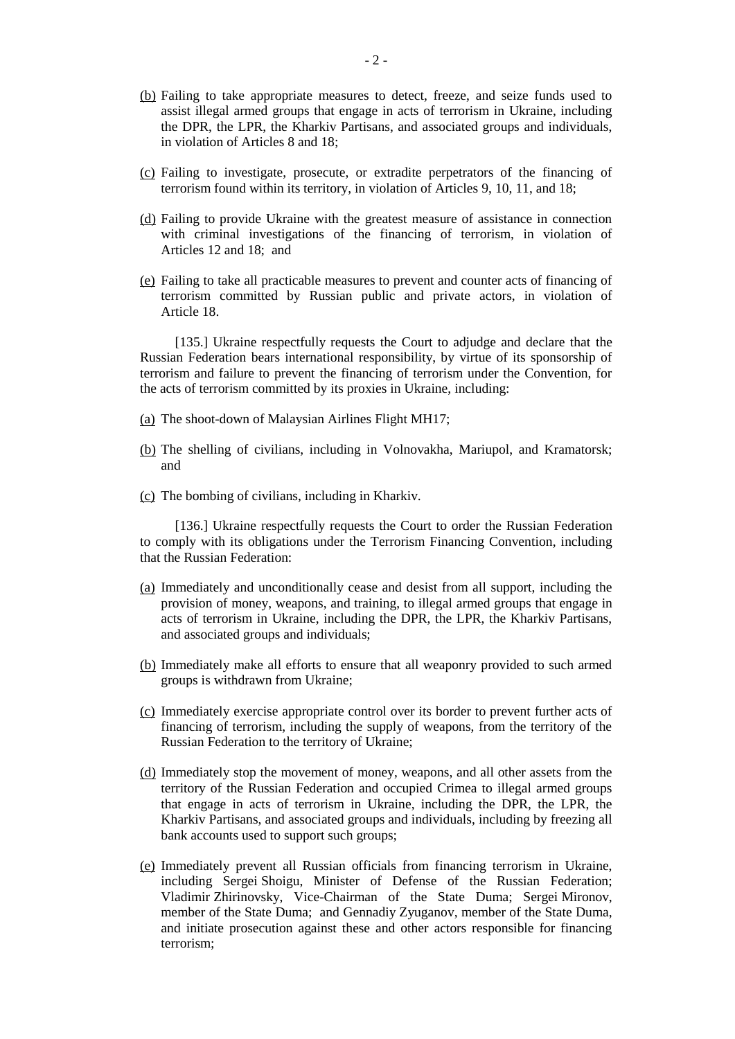- (b) Failing to take appropriate measures to detect, freeze, and seize funds used to assist illegal armed groups that engage in acts of terrorism in Ukraine, including the DPR, the LPR, the Kharkiv Partisans, and associated groups and individuals, in violation of Articles 8 and 18;
- (c) Failing to investigate, prosecute, or extradite perpetrators of the financing of terrorism found within its territory, in violation of Articles 9, 10, 11, and 18;
- (d) Failing to provide Ukraine with the greatest measure of assistance in connection with criminal investigations of the financing of terrorism, in violation of Articles 12 and 18; and
- (e) Failing to take all practicable measures to prevent and counter acts of financing of terrorism committed by Russian public and private actors, in violation of Article 18.

[135.] Ukraine respectfully requests the Court to adjudge and declare that the Russian Federation bears international responsibility, by virtue of its sponsorship of terrorism and failure to prevent the financing of terrorism under the Convention, for the acts of terrorism committed by its proxies in Ukraine, including:

- (a) The shoot-down of Malaysian Airlines Flight MH17;
- (b) The shelling of civilians, including in Volnovakha, Mariupol, and Kramatorsk; and
- (c) The bombing of civilians, including in Kharkiv.

[136.] Ukraine respectfully requests the Court to order the Russian Federation to comply with its obligations under the Terrorism Financing Convention, including that the Russian Federation:

- (a) Immediately and unconditionally cease and desist from all support, including the provision of money, weapons, and training, to illegal armed groups that engage in acts of terrorism in Ukraine, including the DPR, the LPR, the Kharkiv Partisans, and associated groups and individuals;
- (b) Immediately make all efforts to ensure that all weaponry provided to such armed groups is withdrawn from Ukraine;
- (c) Immediately exercise appropriate control over its border to prevent further acts of financing of terrorism, including the supply of weapons, from the territory of the Russian Federation to the territory of Ukraine;
- (d) Immediately stop the movement of money, weapons, and all other assets from the territory of the Russian Federation and occupied Crimea to illegal armed groups that engage in acts of terrorism in Ukraine, including the DPR, the LPR, the Kharkiv Partisans, and associated groups and individuals, including by freezing all bank accounts used to support such groups;
- (e) Immediately prevent all Russian officials from financing terrorism in Ukraine, including Sergei Shoigu, Minister of Defense of the Russian Federation; Vladimir Zhirinovsky, Vice-Chairman of the State Duma; Sergei Mironov, member of the State Duma; and Gennadiy Zyuganov, member of the State Duma, and initiate prosecution against these and other actors responsible for financing terrorism;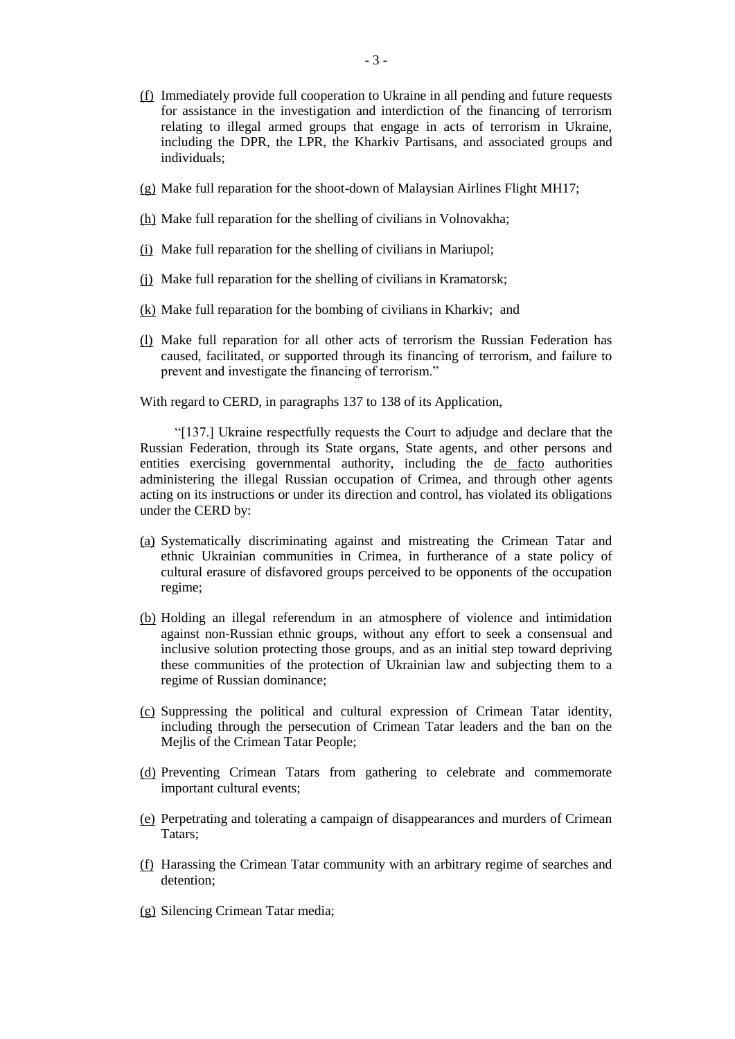- (f) Immediately provide full cooperation to Ukraine in all pending and future requests for assistance in the investigation and interdiction of the financing of terrorism relating to illegal armed groups that engage in acts of terrorism in Ukraine, including the DPR, the LPR, the Kharkiv Partisans, and associated groups and individuals;
- (g) Make full reparation for the shoot-down of Malaysian Airlines Flight MH17;
- (h) Make full reparation for the shelling of civilians in Volnovakha;
- (i) Make full reparation for the shelling of civilians in Mariupol;
- (j) Make full reparation for the shelling of civilians in Kramatorsk;
- (k) Make full reparation for the bombing of civilians in Kharkiv; and
- (l) Make full reparation for all other acts of terrorism the Russian Federation has caused, facilitated, or supported through its financing of terrorism, and failure to prevent and investigate the financing of terrorism."

With regard to CERD, in paragraphs 137 to 138 of its Application,

"[137.] Ukraine respectfully requests the Court to adjudge and declare that the Russian Federation, through its State organs, State agents, and other persons and entities exercising governmental authority, including the de facto authorities administering the illegal Russian occupation of Crimea, and through other agents acting on its instructions or under its direction and control, has violated its obligations under the CERD by:

- (a) Systematically discriminating against and mistreating the Crimean Tatar and ethnic Ukrainian communities in Crimea, in furtherance of a state policy of cultural erasure of disfavored groups perceived to be opponents of the occupation regime;
- (b) Holding an illegal referendum in an atmosphere of violence and intimidation against non-Russian ethnic groups, without any effort to seek a consensual and inclusive solution protecting those groups, and as an initial step toward depriving these communities of the protection of Ukrainian law and subjecting them to a regime of Russian dominance;
- (c) Suppressing the political and cultural expression of Crimean Tatar identity, including through the persecution of Crimean Tatar leaders and the ban on the Mejlis of the Crimean Tatar People;
- (d) Preventing Crimean Tatars from gathering to celebrate and commemorate important cultural events;
- (e) Perpetrating and tolerating a campaign of disappearances and murders of Crimean Tatars;
- (f) Harassing the Crimean Tatar community with an arbitrary regime of searches and detention;
- (g) Silencing Crimean Tatar media;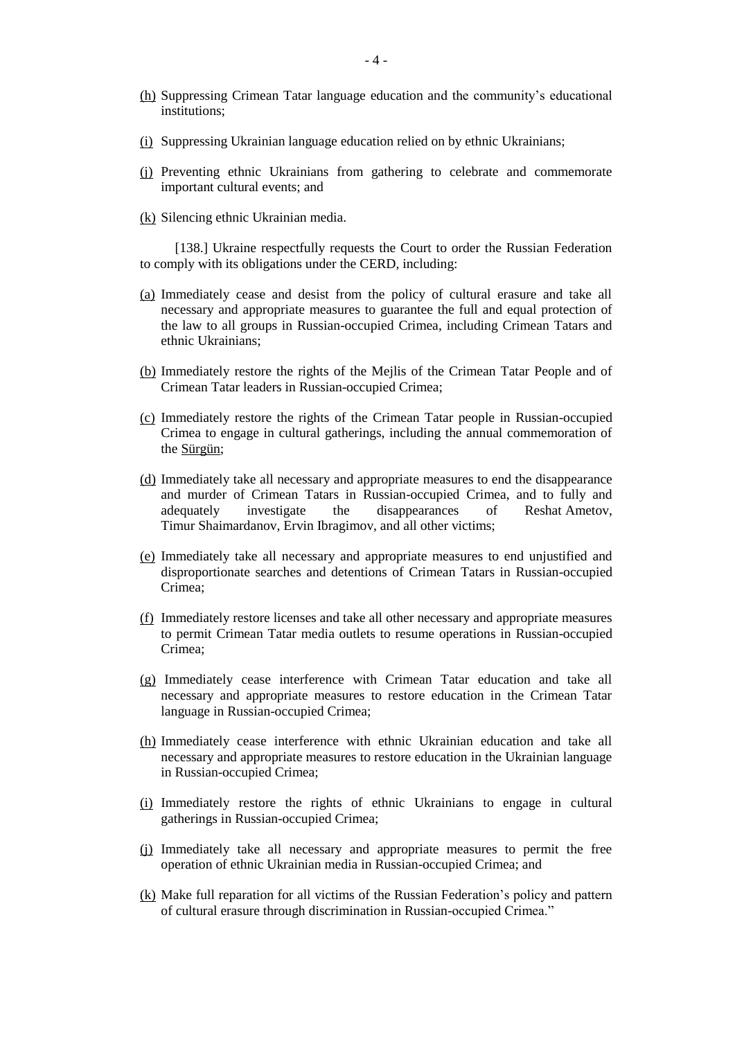- (h) Suppressing Crimean Tatar language education and the community's educational institutions;
- (i) Suppressing Ukrainian language education relied on by ethnic Ukrainians;
- (j) Preventing ethnic Ukrainians from gathering to celebrate and commemorate important cultural events; and
- (k) Silencing ethnic Ukrainian media.

[138.] Ukraine respectfully requests the Court to order the Russian Federation to comply with its obligations under the CERD, including:

- (a) Immediately cease and desist from the policy of cultural erasure and take all necessary and appropriate measures to guarantee the full and equal protection of the law to all groups in Russian-occupied Crimea, including Crimean Tatars and ethnic Ukrainians;
- (b) Immediately restore the rights of the Mejlis of the Crimean Tatar People and of Crimean Tatar leaders in Russian-occupied Crimea;
- (c) Immediately restore the rights of the Crimean Tatar people in Russian-occupied Crimea to engage in cultural gatherings, including the annual commemoration of the Sürgün;
- (d) Immediately take all necessary and appropriate measures to end the disappearance and murder of Crimean Tatars in Russian-occupied Crimea, and to fully and adequately investigate the disappearances of Reshat Ametov, Timur Shaimardanov, Ervin Ibragimov, and all other victims;
- (e) Immediately take all necessary and appropriate measures to end unjustified and disproportionate searches and detentions of Crimean Tatars in Russian-occupied Crimea;
- (f) Immediately restore licenses and take all other necessary and appropriate measures to permit Crimean Tatar media outlets to resume operations in Russian-occupied Crimea;
- (g) Immediately cease interference with Crimean Tatar education and take all necessary and appropriate measures to restore education in the Crimean Tatar language in Russian-occupied Crimea;
- (h) Immediately cease interference with ethnic Ukrainian education and take all necessary and appropriate measures to restore education in the Ukrainian language in Russian-occupied Crimea;
- (i) Immediately restore the rights of ethnic Ukrainians to engage in cultural gatherings in Russian-occupied Crimea;
- (j) Immediately take all necessary and appropriate measures to permit the free operation of ethnic Ukrainian media in Russian-occupied Crimea; and
- (k) Make full reparation for all victims of the Russian Federation's policy and pattern of cultural erasure through discrimination in Russian-occupied Crimea."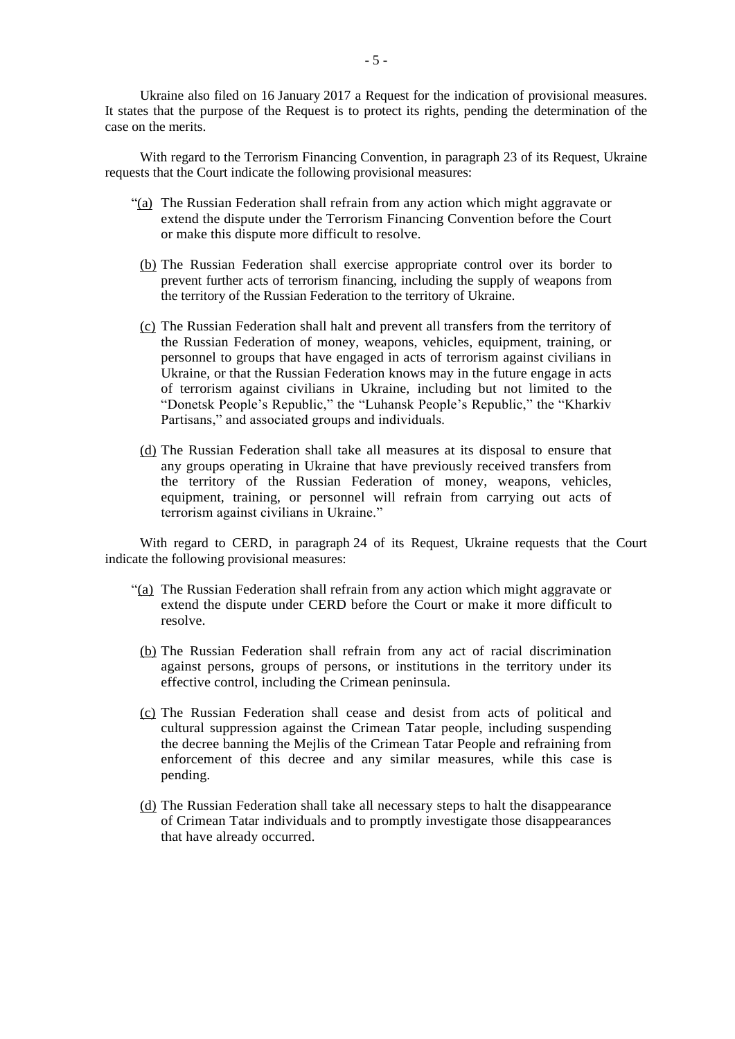Ukraine also filed on 16 January 2017 a Request for the indication of provisional measures. It states that the purpose of the Request is to protect its rights, pending the determination of the case on the merits.

With regard to the Terrorism Financing Convention, in paragraph 23 of its Request, Ukraine requests that the Court indicate the following provisional measures:

- "(a) The Russian Federation shall refrain from any action which might aggravate or extend the dispute under the Terrorism Financing Convention before the Court or make this dispute more difficult to resolve.
	- (b) The Russian Federation shall exercise appropriate control over its border to prevent further acts of terrorism financing, including the supply of weapons from the territory of the Russian Federation to the territory of Ukraine.
	- (c) The Russian Federation shall halt and prevent all transfers from the territory of the Russian Federation of money, weapons, vehicles, equipment, training, or personnel to groups that have engaged in acts of terrorism against civilians in Ukraine, or that the Russian Federation knows may in the future engage in acts of terrorism against civilians in Ukraine, including but not limited to the "Donetsk People's Republic," the "Luhansk People's Republic," the "Kharkiv Partisans," and associated groups and individuals.
	- (d) The Russian Federation shall take all measures at its disposal to ensure that any groups operating in Ukraine that have previously received transfers from the territory of the Russian Federation of money, weapons, vehicles, equipment, training, or personnel will refrain from carrying out acts of terrorism against civilians in Ukraine."

With regard to CERD, in paragraph 24 of its Request, Ukraine requests that the Court indicate the following provisional measures:

- "(a) The Russian Federation shall refrain from any action which might aggravate or extend the dispute under CERD before the Court or make it more difficult to resolve.
	- (b) The Russian Federation shall refrain from any act of racial discrimination against persons, groups of persons, or institutions in the territory under its effective control, including the Crimean peninsula.
	- (c) The Russian Federation shall cease and desist from acts of political and cultural suppression against the Crimean Tatar people, including suspending the decree banning the Mejlis of the Crimean Tatar People and refraining from enforcement of this decree and any similar measures, while this case is pending.
	- (d) The Russian Federation shall take all necessary steps to halt the disappearance of Crimean Tatar individuals and to promptly investigate those disappearances that have already occurred.